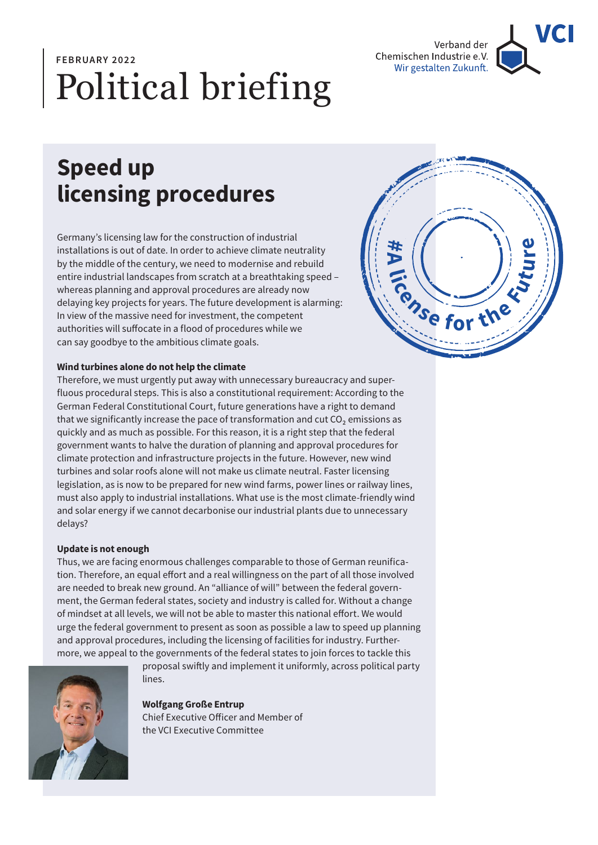

# Political briefing **FEBRUARY 2022**

## **Speed up licensing procedures**

Germany's licensing law for the construction of industrial installations is out of date. In order to achieve climate neutrality by the middle of the century, we need to modernise and rebuild entire industrial landscapes from scratch at a breathtaking speed – whereas planning and approval procedures are already now delaying key projects for years. The future development is alarming: In view of the massive need for investment, the competent authorities will suffocate in a flood of procedures while we can say goodbye to the ambitious climate goals.



### **Wind turbines alone do not help the climate**

Therefore, we must urgently put away with unnecessary bureaucracy and superfluous procedural steps. This is also a constitutional requirement: According to the German Federal Constitutional Court, future generations have a right to demand that we significantly increase the pace of transformation and cut CO₂ emissions as quickly and as much as possible. For this reason, it is a right step that the federal government wants to halve the duration of planning and approval procedures for climate protection and infrastructure projects in the future. However, new wind turbines and solar roofs alone will not make us climate neutral. Faster licensing legislation, as is now to be prepared for new wind farms, power lines or railway lines, must also apply to industrial installations. What use is the most climate-friendly wind and solar energy if we cannot decarbonise our industrial plants due to unnecessary delays?

#### **Update is not enough**

Thus, we are facing enormous challenges comparable to those of German reunification. Therefore, an equal effort and a real willingness on the part of all those involved are needed to break new ground. An "alliance of will" between the federal government, the German federal states, society and industry is called for. Without a change of mindset at all levels, we will not be able to master this national effort. We would urge the federal government to present as soon as possible a law to speed up planning and approval procedures, including the licensing of facilities for industry. Furthermore, we appeal to the governments of the federal states to join forces to tackle this



proposal swiftly and implement it uniformly, across political party lines.

**Wolfgang Große Entrup** Chief Executive Officer and Member of the VCI Executive Committee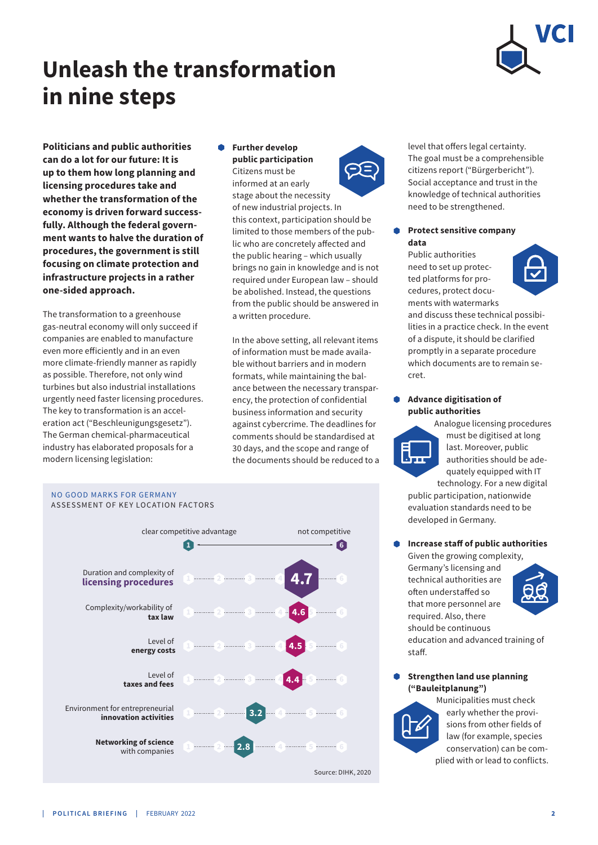

## **Unleash the transformation in nine steps**

**Politicians and public authorities can do a lot for our future: It is up to them how long planning and licensing procedures take and whether the transformation of the economy is driven forward successfully. Although the federal government wants to halve the duration of procedures, the government is still focusing on climate protection and infrastructure projects in a rather one-sided approach.** 

The transformation to a greenhouse gas-neutral economy will only succeed if companies are enabled to manufacture even more efficiently and in an even more climate-friendly manner as rapidly as possible. Therefore, not only wind turbines but also industrial installations urgently need faster licensing procedures. The key to transformation is an acceleration act ("Beschleunigungsgesetz"). The German chemical-pharmaceutical industry has elaborated proposals for a modern licensing legislation:

#### **Further develop public participation**  Citizens must be



informed at an early stage about the necessity of new industrial projects. In this context, participation should be limited to those members of the public who are concretely affected and the public hearing – which usually brings no gain in knowledge and is not required under European law – should be abolished. Instead, the questions from the public should be answered in a written procedure.

In the above setting, all relevant items of information must be made available without barriers and in modern formats, while maintaining the balance between the necessary transparency, the protection of confidential business information and security against cybercrime. The deadlines for comments should be standardised at 30 days, and the scope and range of the documents should be reduced to a



level that offers legal certainty. The goal must be a comprehensible citizens report ("Bürgerbericht"). Social acceptance and trust in the knowledge of technical authorities need to be strengthened.

#### **Protect sensitive company data**

Public authorities need to set up protected platforms for procedures, protect documents with watermarks



and discuss these technical possibilities in a practice check. In the event of a dispute, it should be clarified promptly in a separate procedure which documents are to remain secret.

#### $\bullet$ **Advance digitisation of public authorities**



Analogue licensing procedures must be digitised at long last. Moreover, public authorities should be adequately equipped with IT technology. For a new digital

public participation, nationwide evaluation standards need to be developed in Germany.

#### **Increase staff of public authorities**

Given the growing complexity, Germany's licensing and technical authorities are often understaffed so that more personnel are required. Also, there should be continuous education and advanced training of staff.

### **Strengthen land use planning ("Bauleitplanung")**



Municipalities must check early whether the provisions from other fields of law (for example, species conservation) can be complied with or lead to conflicts.